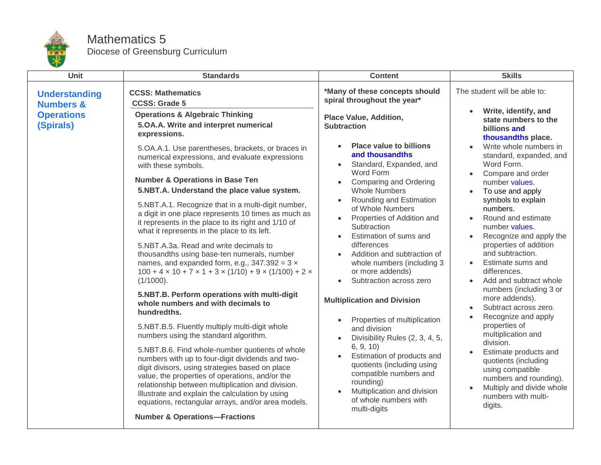

## Mathematics 5 Diocese of Greensburg Curriculum

| <b>Unit</b>                                                                    | <b>Standards</b>                                                                                                                                                                                                                                                                                                                                                                                                                                                                                                                                                                                                                                                                                                                                                                                                                                                                                                                                                                                                                                                                                                                                                                                                                                                                                                                                                                                                                                                                    | <b>Content</b>                                                                                                                                                                                                                                                                                                                                                                                                                                                                                                                                                                                                                                                                                                                                                                                                                                                                           | <b>Skills</b>                                                                                                                                                                                                                                                                                                                                                                                                                                                                                                                                                                                                                                                                                                                                                                     |
|--------------------------------------------------------------------------------|-------------------------------------------------------------------------------------------------------------------------------------------------------------------------------------------------------------------------------------------------------------------------------------------------------------------------------------------------------------------------------------------------------------------------------------------------------------------------------------------------------------------------------------------------------------------------------------------------------------------------------------------------------------------------------------------------------------------------------------------------------------------------------------------------------------------------------------------------------------------------------------------------------------------------------------------------------------------------------------------------------------------------------------------------------------------------------------------------------------------------------------------------------------------------------------------------------------------------------------------------------------------------------------------------------------------------------------------------------------------------------------------------------------------------------------------------------------------------------------|------------------------------------------------------------------------------------------------------------------------------------------------------------------------------------------------------------------------------------------------------------------------------------------------------------------------------------------------------------------------------------------------------------------------------------------------------------------------------------------------------------------------------------------------------------------------------------------------------------------------------------------------------------------------------------------------------------------------------------------------------------------------------------------------------------------------------------------------------------------------------------------|-----------------------------------------------------------------------------------------------------------------------------------------------------------------------------------------------------------------------------------------------------------------------------------------------------------------------------------------------------------------------------------------------------------------------------------------------------------------------------------------------------------------------------------------------------------------------------------------------------------------------------------------------------------------------------------------------------------------------------------------------------------------------------------|
| <b>Understanding</b><br><b>Numbers &amp;</b><br><b>Operations</b><br>(Spirals) | <b>CCSS: Mathematics</b><br><b>CCSS: Grade 5</b><br><b>Operations &amp; Algebraic Thinking</b><br>5.OA.A. Write and interpret numerical<br>expressions.<br>5.OA.A.1. Use parentheses, brackets, or braces in<br>numerical expressions, and evaluate expressions<br>with these symbols.<br><b>Number &amp; Operations in Base Ten</b><br>5.NBT.A. Understand the place value system.<br>5.NBT.A.1. Recognize that in a multi-digit number,<br>a digit in one place represents 10 times as much as<br>it represents in the place to its right and 1/10 of<br>what it represents in the place to its left.<br>5.NBT.A.3a. Read and write decimals to<br>thousandths using base-ten numerals, number<br>names, and expanded form, e.g., $347.392 = 3 \times$<br>$100 + 4 \times 10 + 7 \times 1 + 3 \times (1/10) + 9 \times (1/100) + 2 \times$<br>$(1/1000)$ .<br>5.NBT.B. Perform operations with multi-digit<br>whole numbers and with decimals to<br>hundredths.<br>5.NBT.B.5. Fluently multiply multi-digit whole<br>numbers using the standard algorithm.<br>5.NBT.B.6. Find whole-number quotients of whole<br>numbers with up to four-digit dividends and two-<br>digit divisors, using strategies based on place<br>value, the properties of operations, and/or the<br>relationship between multiplication and division.<br>Illustrate and explain the calculation by using<br>equations, rectangular arrays, and/or area models.<br><b>Number &amp; Operations-Fractions</b> | *Many of these concepts should<br>spiral throughout the year*<br><b>Place Value, Addition,</b><br><b>Subtraction</b><br><b>Place value to billions</b><br>and thousandths<br>Standard, Expanded, and<br>Word Form<br>Comparing and Ordering<br>$\bullet$<br><b>Whole Numbers</b><br>Rounding and Estimation<br>$\bullet$<br>of Whole Numbers<br>Properties of Addition and<br>$\bullet$<br>Subtraction<br>Estimation of sums and<br>differences<br>Addition and subtraction of<br>whole numbers (including 3<br>or more addends)<br>Subtraction across zero<br><b>Multiplication and Division</b><br>Properties of multiplication<br>$\bullet$<br>and division<br>Divisibility Rules (2, 3, 4, 5,<br>6, 9, 10<br>Estimation of products and<br>quotients (including using<br>compatible numbers and<br>rounding)<br>Multiplication and division<br>of whole numbers with<br>multi-digits | The student will be able to:<br>Write, identify, and<br>state numbers to the<br>billions and<br>thousandths place.<br>Write whole numbers in<br>standard, expanded, and<br>Word Form.<br>Compare and order<br>number values.<br>To use and apply<br>symbols to explain<br>numbers.<br>Round and estimate<br>number values.<br>Recognize and apply the<br>properties of addition<br>and subtraction.<br>Estimate sums and<br>differences.<br>Add and subtract whole<br>numbers (including 3 or<br>more addends).<br>Subtract across zero.<br>Recognize and apply<br>properties of<br>multiplication and<br>division.<br>Estimate products and<br>quotients (including<br>using compatible<br>numbers and rounding).<br>Multiply and divide whole<br>numbers with multi-<br>digits. |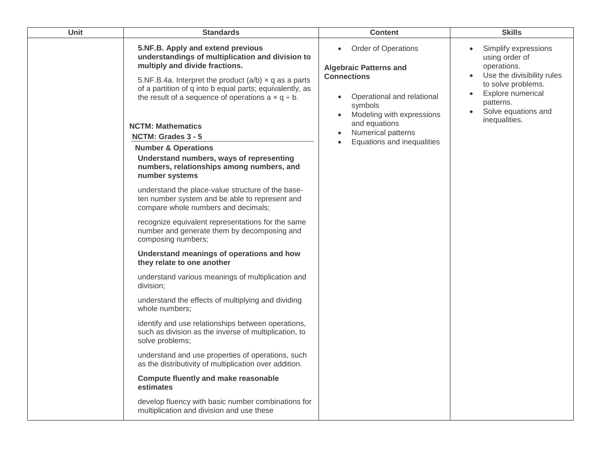| Unit | <b>Standards</b>                                                                                                                                                                                                                                                                                                                                | <b>Content</b>                                                                                                                                                                                                  | <b>Skills</b>                                                                                                                                                                                                 |
|------|-------------------------------------------------------------------------------------------------------------------------------------------------------------------------------------------------------------------------------------------------------------------------------------------------------------------------------------------------|-----------------------------------------------------------------------------------------------------------------------------------------------------------------------------------------------------------------|---------------------------------------------------------------------------------------------------------------------------------------------------------------------------------------------------------------|
|      | 5.NF.B. Apply and extend previous<br>understandings of multiplication and division to<br>multiply and divide fractions.<br>5.NF.B.4a. Interpret the product $(a/b) \times q$ as a parts<br>of a partition of q into b equal parts; equivalently, as<br>the result of a sequence of operations $a \times q \div b$ .<br><b>NCTM: Mathematics</b> | <b>Order of Operations</b><br>$\bullet$<br><b>Algebraic Patterns and</b><br><b>Connections</b><br>Operational and relational<br>$\bullet$<br>symbols<br>Modeling with expressions<br>$\bullet$<br>and equations | Simplify expressions<br>using order of<br>operations.<br>Use the divisibility rules<br>$\bullet$<br>to solve problems.<br>Explore numerical<br>$\bullet$<br>patterns.<br>Solve equations and<br>inequalities. |
|      | NCTM: Grades 3 - 5                                                                                                                                                                                                                                                                                                                              | Numerical patterns<br>$\bullet$<br>Equations and inequalities<br>$\bullet$                                                                                                                                      |                                                                                                                                                                                                               |
|      | <b>Number &amp; Operations</b>                                                                                                                                                                                                                                                                                                                  |                                                                                                                                                                                                                 |                                                                                                                                                                                                               |
|      | Understand numbers, ways of representing<br>numbers, relationships among numbers, and<br>number systems                                                                                                                                                                                                                                         |                                                                                                                                                                                                                 |                                                                                                                                                                                                               |
|      | understand the place-value structure of the base-<br>ten number system and be able to represent and<br>compare whole numbers and decimals;                                                                                                                                                                                                      |                                                                                                                                                                                                                 |                                                                                                                                                                                                               |
|      | recognize equivalent representations for the same<br>number and generate them by decomposing and<br>composing numbers;                                                                                                                                                                                                                          |                                                                                                                                                                                                                 |                                                                                                                                                                                                               |
|      | Understand meanings of operations and how<br>they relate to one another                                                                                                                                                                                                                                                                         |                                                                                                                                                                                                                 |                                                                                                                                                                                                               |
|      | understand various meanings of multiplication and<br>division;                                                                                                                                                                                                                                                                                  |                                                                                                                                                                                                                 |                                                                                                                                                                                                               |
|      | understand the effects of multiplying and dividing<br>whole numbers;                                                                                                                                                                                                                                                                            |                                                                                                                                                                                                                 |                                                                                                                                                                                                               |
|      | identify and use relationships between operations,<br>such as division as the inverse of multiplication, to<br>solve problems;                                                                                                                                                                                                                  |                                                                                                                                                                                                                 |                                                                                                                                                                                                               |
|      | understand and use properties of operations, such<br>as the distributivity of multiplication over addition.                                                                                                                                                                                                                                     |                                                                                                                                                                                                                 |                                                                                                                                                                                                               |
|      | <b>Compute fluently and make reasonable</b><br>estimates                                                                                                                                                                                                                                                                                        |                                                                                                                                                                                                                 |                                                                                                                                                                                                               |
|      | develop fluency with basic number combinations for<br>multiplication and division and use these                                                                                                                                                                                                                                                 |                                                                                                                                                                                                                 |                                                                                                                                                                                                               |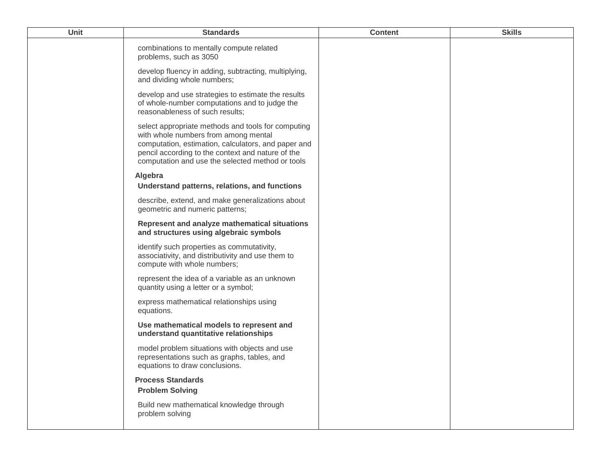| <b>Unit</b> | <b>Standards</b>                                                                                                                                                                                                                                           | <b>Content</b> | <b>Skills</b> |
|-------------|------------------------------------------------------------------------------------------------------------------------------------------------------------------------------------------------------------------------------------------------------------|----------------|---------------|
|             | combinations to mentally compute related<br>problems, such as 3050                                                                                                                                                                                         |                |               |
|             | develop fluency in adding, subtracting, multiplying,<br>and dividing whole numbers;                                                                                                                                                                        |                |               |
|             | develop and use strategies to estimate the results<br>of whole-number computations and to judge the<br>reasonableness of such results;                                                                                                                     |                |               |
|             | select appropriate methods and tools for computing<br>with whole numbers from among mental<br>computation, estimation, calculators, and paper and<br>pencil according to the context and nature of the<br>computation and use the selected method or tools |                |               |
|             | Algebra                                                                                                                                                                                                                                                    |                |               |
|             | Understand patterns, relations, and functions                                                                                                                                                                                                              |                |               |
|             | describe, extend, and make generalizations about<br>geometric and numeric patterns;                                                                                                                                                                        |                |               |
|             | Represent and analyze mathematical situations<br>and structures using algebraic symbols                                                                                                                                                                    |                |               |
|             | identify such properties as commutativity,<br>associativity, and distributivity and use them to<br>compute with whole numbers;                                                                                                                             |                |               |
|             | represent the idea of a variable as an unknown<br>quantity using a letter or a symbol;                                                                                                                                                                     |                |               |
|             | express mathematical relationships using<br>equations.                                                                                                                                                                                                     |                |               |
|             | Use mathematical models to represent and<br>understand quantitative relationships                                                                                                                                                                          |                |               |
|             | model problem situations with objects and use<br>representations such as graphs, tables, and<br>equations to draw conclusions.                                                                                                                             |                |               |
|             | <b>Process Standards</b><br><b>Problem Solving</b>                                                                                                                                                                                                         |                |               |
|             | Build new mathematical knowledge through<br>problem solving                                                                                                                                                                                                |                |               |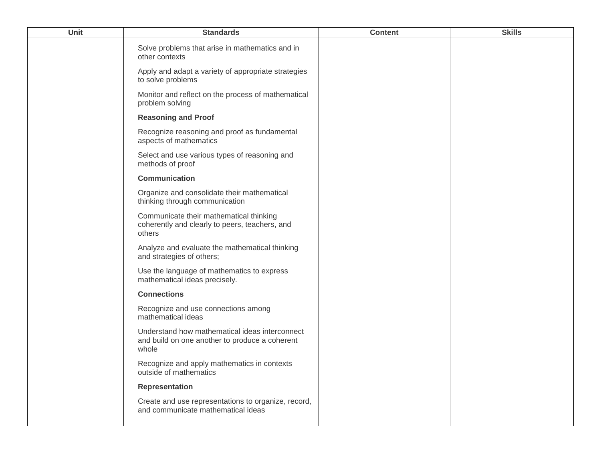| <b>Unit</b> | <b>Standards</b>                                                                                          | <b>Content</b> | <b>Skills</b> |
|-------------|-----------------------------------------------------------------------------------------------------------|----------------|---------------|
|             | Solve problems that arise in mathematics and in<br>other contexts                                         |                |               |
|             | Apply and adapt a variety of appropriate strategies<br>to solve problems                                  |                |               |
|             | Monitor and reflect on the process of mathematical<br>problem solving                                     |                |               |
|             | <b>Reasoning and Proof</b>                                                                                |                |               |
|             | Recognize reasoning and proof as fundamental<br>aspects of mathematics                                    |                |               |
|             | Select and use various types of reasoning and<br>methods of proof                                         |                |               |
|             | <b>Communication</b>                                                                                      |                |               |
|             | Organize and consolidate their mathematical<br>thinking through communication                             |                |               |
|             | Communicate their mathematical thinking<br>coherently and clearly to peers, teachers, and<br>others       |                |               |
|             | Analyze and evaluate the mathematical thinking<br>and strategies of others;                               |                |               |
|             | Use the language of mathematics to express<br>mathematical ideas precisely.                               |                |               |
|             | <b>Connections</b>                                                                                        |                |               |
|             | Recognize and use connections among<br>mathematical ideas                                                 |                |               |
|             | Understand how mathematical ideas interconnect<br>and build on one another to produce a coherent<br>whole |                |               |
|             | Recognize and apply mathematics in contexts<br>outside of mathematics                                     |                |               |
|             | <b>Representation</b>                                                                                     |                |               |
|             | Create and use representations to organize, record,<br>and communicate mathematical ideas                 |                |               |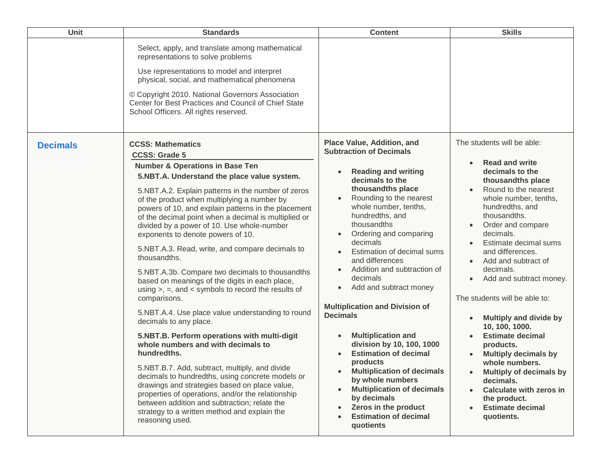| Unit            | <b>Standards</b>                                                                                                                                                                                                                                                                                                                                                                                                                                                                                                                                                                                                                                                                                                                                                                                                                                                                                                                                                                                                                                                                                                                                                                                                         | <b>Content</b>                                                                                                                                                                                                                                                                                                                                                                                                                                                                                                                                                                                                                                                                                                                           | <b>Skills</b>                                                                                                                                                                                                                                                                                                                                                                                                                                                                                                                                                                                                                                                     |
|-----------------|--------------------------------------------------------------------------------------------------------------------------------------------------------------------------------------------------------------------------------------------------------------------------------------------------------------------------------------------------------------------------------------------------------------------------------------------------------------------------------------------------------------------------------------------------------------------------------------------------------------------------------------------------------------------------------------------------------------------------------------------------------------------------------------------------------------------------------------------------------------------------------------------------------------------------------------------------------------------------------------------------------------------------------------------------------------------------------------------------------------------------------------------------------------------------------------------------------------------------|------------------------------------------------------------------------------------------------------------------------------------------------------------------------------------------------------------------------------------------------------------------------------------------------------------------------------------------------------------------------------------------------------------------------------------------------------------------------------------------------------------------------------------------------------------------------------------------------------------------------------------------------------------------------------------------------------------------------------------------|-------------------------------------------------------------------------------------------------------------------------------------------------------------------------------------------------------------------------------------------------------------------------------------------------------------------------------------------------------------------------------------------------------------------------------------------------------------------------------------------------------------------------------------------------------------------------------------------------------------------------------------------------------------------|
|                 | Select, apply, and translate among mathematical<br>representations to solve problems<br>Use representations to model and interpret<br>physical, social, and mathematical phenomena<br>© Copyright 2010. National Governors Association<br>Center for Best Practices and Council of Chief State<br>School Officers. All rights reserved.                                                                                                                                                                                                                                                                                                                                                                                                                                                                                                                                                                                                                                                                                                                                                                                                                                                                                  |                                                                                                                                                                                                                                                                                                                                                                                                                                                                                                                                                                                                                                                                                                                                          |                                                                                                                                                                                                                                                                                                                                                                                                                                                                                                                                                                                                                                                                   |
| <b>Decimals</b> | <b>CCSS: Mathematics</b><br><b>CCSS: Grade 5</b><br><b>Number &amp; Operations in Base Ten</b><br>5.NBT.A. Understand the place value system.<br>5.NBT.A.2. Explain patterns in the number of zeros<br>of the product when multiplying a number by<br>powers of 10, and explain patterns in the placement<br>of the decimal point when a decimal is multiplied or<br>divided by a power of 10. Use whole-number<br>exponents to denote powers of 10.<br>5.NBT.A.3. Read, write, and compare decimals to<br>thousandths.<br>5.NBT.A.3b. Compare two decimals to thousandths<br>based on meanings of the digits in each place,<br>using $>$ , =, and < symbols to record the results of<br>comparisons.<br>5.NBT.A.4. Use place value understanding to round<br>decimals to any place.<br>5.NBT.B. Perform operations with multi-digit<br>whole numbers and with decimals to<br>hundredths.<br>5.NBT.B.7. Add, subtract, multiply, and divide<br>decimals to hundredths, using concrete models or<br>drawings and strategies based on place value,<br>properties of operations, and/or the relationship<br>between addition and subtraction; relate the<br>strategy to a written method and explain the<br>reasoning used. | Place Value, Addition, and<br><b>Subtraction of Decimals</b><br><b>Reading and writing</b><br>decimals to the<br>thousandths place<br>Rounding to the nearest<br>whole number, tenths,<br>hundredths, and<br>thousandths<br>Ordering and comparing<br>decimals<br>Estimation of decimal sums<br>and differences<br>Addition and subtraction of<br>decimals<br>Add and subtract money<br><b>Multiplication and Division of</b><br><b>Decimals</b><br><b>Multiplication and</b><br>division by 10, 100, 1000<br><b>Estimation of decimal</b><br>products<br><b>Multiplication of decimals</b><br>by whole numbers<br><b>Multiplication of decimals</b><br>by decimals<br>Zeros in the product<br><b>Estimation of decimal</b><br>quotients | The students will be able:<br><b>Read and write</b><br>decimals to the<br>thousandths place<br>Round to the nearest<br>whole number, tenths,<br>hundredths, and<br>thousandths.<br>Order and compare<br>decimals.<br>Estimate decimal sums<br>and differences.<br>Add and subtract of<br>decimals.<br>Add and subtract money.<br>The students will be able to:<br><b>Multiply and divide by</b><br>10, 100, 1000.<br><b>Estimate decimal</b><br>products.<br><b>Multiply decimals by</b><br>whole numbers.<br><b>Multiply of decimals by</b><br>decimals.<br><b>Calculate with zeros in</b><br>$\bullet$<br>the product.<br><b>Estimate decimal</b><br>quotients. |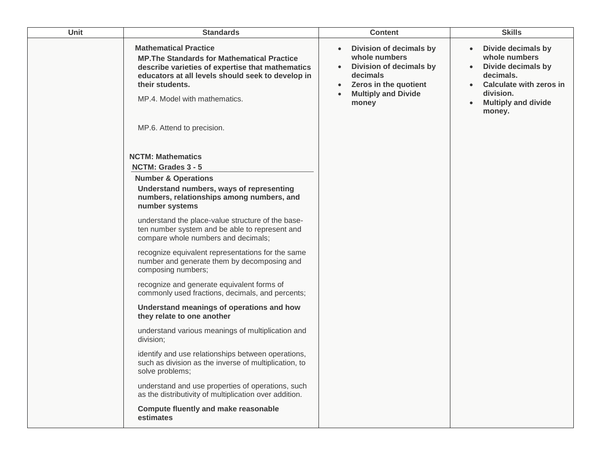| <b>Unit</b> | <b>Standards</b>                                                                                                                                                                                                                                | <b>Content</b>                                                                                                                                                                                      | <b>Skills</b>                                                                                                                                          |
|-------------|-------------------------------------------------------------------------------------------------------------------------------------------------------------------------------------------------------------------------------------------------|-----------------------------------------------------------------------------------------------------------------------------------------------------------------------------------------------------|--------------------------------------------------------------------------------------------------------------------------------------------------------|
|             | <b>Mathematical Practice</b><br><b>MP. The Standards for Mathematical Practice</b><br>describe varieties of expertise that mathematics<br>educators at all levels should seek to develop in<br>their students.<br>MP.4. Model with mathematics. | Division of decimals by<br>$\bullet$<br>whole numbers<br>Division of decimals by<br>$\bullet$<br>decimals<br>Zeros in the quotient<br>$\bullet$<br><b>Multiply and Divide</b><br>$\bullet$<br>money | Divide decimals by<br>whole numbers<br>Divide decimals by<br>decimals.<br>Calculate with zeros in<br>division.<br><b>Multiply and divide</b><br>money. |
|             | MP.6. Attend to precision.                                                                                                                                                                                                                      |                                                                                                                                                                                                     |                                                                                                                                                        |
|             | <b>NCTM: Mathematics</b><br>NCTM: Grades 3 - 5<br><b>Number &amp; Operations</b>                                                                                                                                                                |                                                                                                                                                                                                     |                                                                                                                                                        |
|             | Understand numbers, ways of representing<br>numbers, relationships among numbers, and<br>number systems                                                                                                                                         |                                                                                                                                                                                                     |                                                                                                                                                        |
|             | understand the place-value structure of the base-<br>ten number system and be able to represent and<br>compare whole numbers and decimals;                                                                                                      |                                                                                                                                                                                                     |                                                                                                                                                        |
|             | recognize equivalent representations for the same<br>number and generate them by decomposing and<br>composing numbers;                                                                                                                          |                                                                                                                                                                                                     |                                                                                                                                                        |
|             | recognize and generate equivalent forms of<br>commonly used fractions, decimals, and percents;                                                                                                                                                  |                                                                                                                                                                                                     |                                                                                                                                                        |
|             | Understand meanings of operations and how<br>they relate to one another                                                                                                                                                                         |                                                                                                                                                                                                     |                                                                                                                                                        |
|             | understand various meanings of multiplication and<br>division;                                                                                                                                                                                  |                                                                                                                                                                                                     |                                                                                                                                                        |
|             | identify and use relationships between operations,<br>such as division as the inverse of multiplication, to<br>solve problems;                                                                                                                  |                                                                                                                                                                                                     |                                                                                                                                                        |
|             | understand and use properties of operations, such<br>as the distributivity of multiplication over addition.                                                                                                                                     |                                                                                                                                                                                                     |                                                                                                                                                        |
|             | <b>Compute fluently and make reasonable</b><br>estimates                                                                                                                                                                                        |                                                                                                                                                                                                     |                                                                                                                                                        |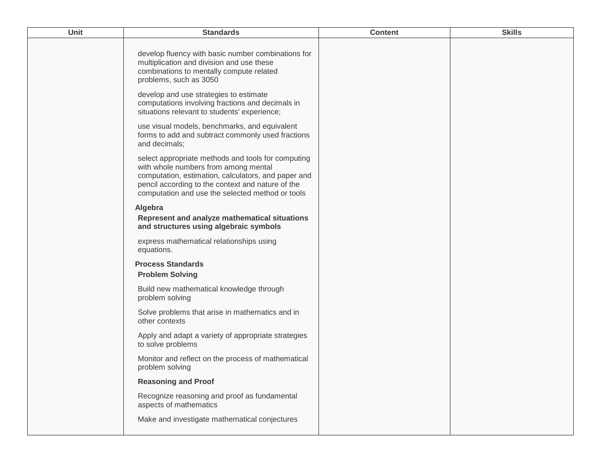| <b>Unit</b> | <b>Standards</b>                                                                                                                                                                                                                                           | <b>Content</b> | <b>Skills</b> |
|-------------|------------------------------------------------------------------------------------------------------------------------------------------------------------------------------------------------------------------------------------------------------------|----------------|---------------|
|             | develop fluency with basic number combinations for<br>multiplication and division and use these<br>combinations to mentally compute related<br>problems, such as 3050                                                                                      |                |               |
|             | develop and use strategies to estimate<br>computations involving fractions and decimals in<br>situations relevant to students' experience;                                                                                                                 |                |               |
|             | use visual models, benchmarks, and equivalent<br>forms to add and subtract commonly used fractions<br>and decimals;                                                                                                                                        |                |               |
|             | select appropriate methods and tools for computing<br>with whole numbers from among mental<br>computation, estimation, calculators, and paper and<br>pencil according to the context and nature of the<br>computation and use the selected method or tools |                |               |
|             | Algebra<br>Represent and analyze mathematical situations<br>and structures using algebraic symbols                                                                                                                                                         |                |               |
|             | express mathematical relationships using<br>equations.                                                                                                                                                                                                     |                |               |
|             | <b>Process Standards</b><br><b>Problem Solving</b>                                                                                                                                                                                                         |                |               |
|             | Build new mathematical knowledge through<br>problem solving                                                                                                                                                                                                |                |               |
|             | Solve problems that arise in mathematics and in<br>other contexts                                                                                                                                                                                          |                |               |
|             | Apply and adapt a variety of appropriate strategies<br>to solve problems                                                                                                                                                                                   |                |               |
|             | Monitor and reflect on the process of mathematical<br>problem solving                                                                                                                                                                                      |                |               |
|             | <b>Reasoning and Proof</b>                                                                                                                                                                                                                                 |                |               |
|             | Recognize reasoning and proof as fundamental<br>aspects of mathematics                                                                                                                                                                                     |                |               |
|             | Make and investigate mathematical conjectures                                                                                                                                                                                                              |                |               |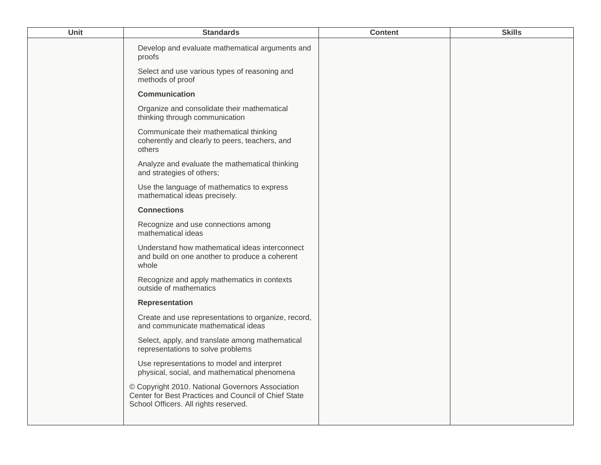| Unit | <b>Standards</b>                                                                                                                                  | <b>Content</b> | <b>Skills</b> |
|------|---------------------------------------------------------------------------------------------------------------------------------------------------|----------------|---------------|
|      | Develop and evaluate mathematical arguments and<br>proofs                                                                                         |                |               |
|      | Select and use various types of reasoning and<br>methods of proof                                                                                 |                |               |
|      | <b>Communication</b>                                                                                                                              |                |               |
|      | Organize and consolidate their mathematical<br>thinking through communication                                                                     |                |               |
|      | Communicate their mathematical thinking<br>coherently and clearly to peers, teachers, and<br>others                                               |                |               |
|      | Analyze and evaluate the mathematical thinking<br>and strategies of others;                                                                       |                |               |
|      | Use the language of mathematics to express<br>mathematical ideas precisely.                                                                       |                |               |
|      | <b>Connections</b>                                                                                                                                |                |               |
|      | Recognize and use connections among<br>mathematical ideas                                                                                         |                |               |
|      | Understand how mathematical ideas interconnect<br>and build on one another to produce a coherent<br>whole                                         |                |               |
|      | Recognize and apply mathematics in contexts<br>outside of mathematics                                                                             |                |               |
|      | <b>Representation</b>                                                                                                                             |                |               |
|      | Create and use representations to organize, record,<br>and communicate mathematical ideas                                                         |                |               |
|      | Select, apply, and translate among mathematical<br>representations to solve problems                                                              |                |               |
|      | Use representations to model and interpret<br>physical, social, and mathematical phenomena                                                        |                |               |
|      | © Copyright 2010. National Governors Association<br>Center for Best Practices and Council of Chief State<br>School Officers. All rights reserved. |                |               |
|      |                                                                                                                                                   |                |               |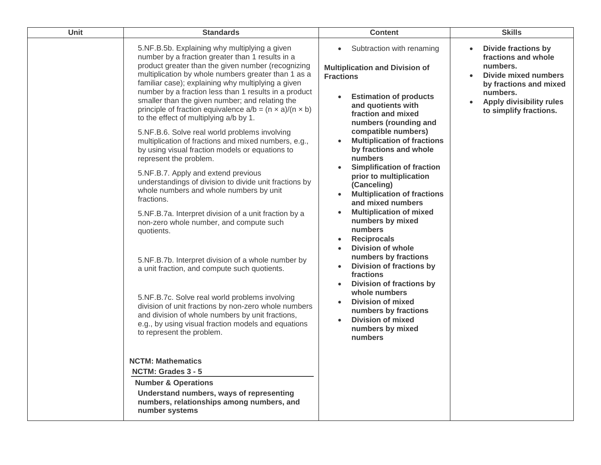| <b>Unit</b> | <b>Standards</b>                                                                                                                                                                                                                                                                                                              | <b>Content</b>                                                                                                                                         | <b>Skills</b>                                                                                                                            |
|-------------|-------------------------------------------------------------------------------------------------------------------------------------------------------------------------------------------------------------------------------------------------------------------------------------------------------------------------------|--------------------------------------------------------------------------------------------------------------------------------------------------------|------------------------------------------------------------------------------------------------------------------------------------------|
|             | 5.NF.B.5b. Explaining why multiplying a given<br>number by a fraction greater than 1 results in a<br>product greater than the given number (recognizing<br>multiplication by whole numbers greater than 1 as a<br>familiar case); explaining why multiplying a given<br>number by a fraction less than 1 results in a product | Subtraction with renaming<br>$\bullet$<br><b>Multiplication and Division of</b><br><b>Fractions</b>                                                    | <b>Divide fractions by</b><br>$\bullet$<br>fractions and whole<br>numbers.<br>Divide mixed numbers<br>by fractions and mixed<br>numbers. |
|             | smaller than the given number; and relating the<br>principle of fraction equivalence $a/b = (n \times a)/(n \times b)$<br>to the effect of multiplying a/b by 1.                                                                                                                                                              | <b>Estimation of products</b><br>$\bullet$<br>and quotients with<br>fraction and mixed<br>numbers (rounding and                                        | <b>Apply divisibility rules</b><br>to simplify fractions.                                                                                |
|             | 5.NF.B.6. Solve real world problems involving<br>multiplication of fractions and mixed numbers, e.g.,<br>by using visual fraction models or equations to<br>represent the problem.                                                                                                                                            | compatible numbers)<br><b>Multiplication of fractions</b><br>by fractions and whole<br>numbers                                                         |                                                                                                                                          |
|             | 5.NF.B.7. Apply and extend previous<br>understandings of division to divide unit fractions by<br>whole numbers and whole numbers by unit<br>fractions.                                                                                                                                                                        | <b>Simplification of fraction</b><br>$\bullet$<br>prior to multiplication<br>(Canceling)<br><b>Multiplication of fractions</b><br>and mixed numbers    |                                                                                                                                          |
|             | 5.NF.B.7a. Interpret division of a unit fraction by a<br>non-zero whole number, and compute such<br>quotients.                                                                                                                                                                                                                | <b>Multiplication of mixed</b><br>numbers by mixed<br>numbers<br><b>Reciprocals</b><br>$\bullet$<br><b>Division of whole</b>                           |                                                                                                                                          |
|             | 5.NF.B.7b. Interpret division of a whole number by<br>a unit fraction, and compute such quotients.                                                                                                                                                                                                                            | numbers by fractions<br><b>Division of fractions by</b><br>$\bullet$<br>fractions<br><b>Division of fractions by</b>                                   |                                                                                                                                          |
|             | 5.NF.B.7c. Solve real world problems involving<br>division of unit fractions by non-zero whole numbers<br>and division of whole numbers by unit fractions,<br>e.g., by using visual fraction models and equations<br>to represent the problem.                                                                                | whole numbers<br><b>Division of mixed</b><br>$\bullet$<br>numbers by fractions<br><b>Division of mixed</b><br>$\bullet$<br>numbers by mixed<br>numbers |                                                                                                                                          |
|             | <b>NCTM: Mathematics</b>                                                                                                                                                                                                                                                                                                      |                                                                                                                                                        |                                                                                                                                          |
|             | NCTM: Grades 3 - 5                                                                                                                                                                                                                                                                                                            |                                                                                                                                                        |                                                                                                                                          |
|             | <b>Number &amp; Operations</b>                                                                                                                                                                                                                                                                                                |                                                                                                                                                        |                                                                                                                                          |
|             | Understand numbers, ways of representing<br>numbers, relationships among numbers, and<br>number systems                                                                                                                                                                                                                       |                                                                                                                                                        |                                                                                                                                          |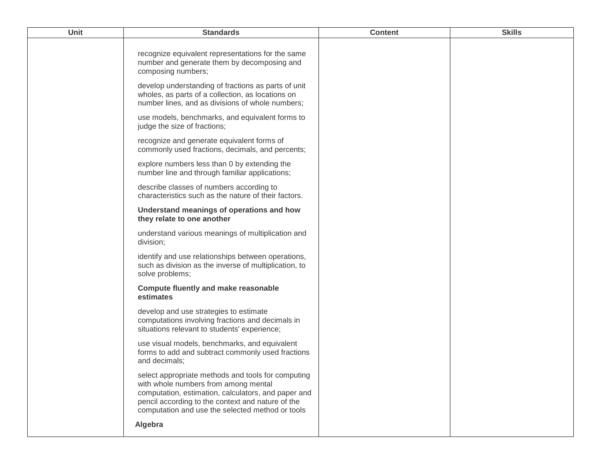| <b>Unit</b> | <b>Standards</b>                                                                                                                                                                                                                                                      | <b>Content</b> | <b>Skills</b> |
|-------------|-----------------------------------------------------------------------------------------------------------------------------------------------------------------------------------------------------------------------------------------------------------------------|----------------|---------------|
|             | recognize equivalent representations for the same<br>number and generate them by decomposing and<br>composing numbers;                                                                                                                                                |                |               |
|             | develop understanding of fractions as parts of unit<br>wholes, as parts of a collection, as locations on<br>number lines, and as divisions of whole numbers;                                                                                                          |                |               |
|             | use models, benchmarks, and equivalent forms to<br>judge the size of fractions;                                                                                                                                                                                       |                |               |
|             | recognize and generate equivalent forms of<br>commonly used fractions, decimals, and percents;                                                                                                                                                                        |                |               |
|             | explore numbers less than 0 by extending the<br>number line and through familiar applications;                                                                                                                                                                        |                |               |
|             | describe classes of numbers according to<br>characteristics such as the nature of their factors.                                                                                                                                                                      |                |               |
|             | Understand meanings of operations and how<br>they relate to one another                                                                                                                                                                                               |                |               |
|             | understand various meanings of multiplication and<br>division;                                                                                                                                                                                                        |                |               |
|             | identify and use relationships between operations,<br>such as division as the inverse of multiplication, to<br>solve problems;                                                                                                                                        |                |               |
|             | <b>Compute fluently and make reasonable</b><br>estimates                                                                                                                                                                                                              |                |               |
|             | develop and use strategies to estimate<br>computations involving fractions and decimals in<br>situations relevant to students' experience;                                                                                                                            |                |               |
|             | use visual models, benchmarks, and equivalent<br>forms to add and subtract commonly used fractions<br>and decimals;                                                                                                                                                   |                |               |
|             | select appropriate methods and tools for computing<br>with whole numbers from among mental<br>computation, estimation, calculators, and paper and<br>pencil according to the context and nature of the<br>computation and use the selected method or tools<br>Algebra |                |               |
|             |                                                                                                                                                                                                                                                                       |                |               |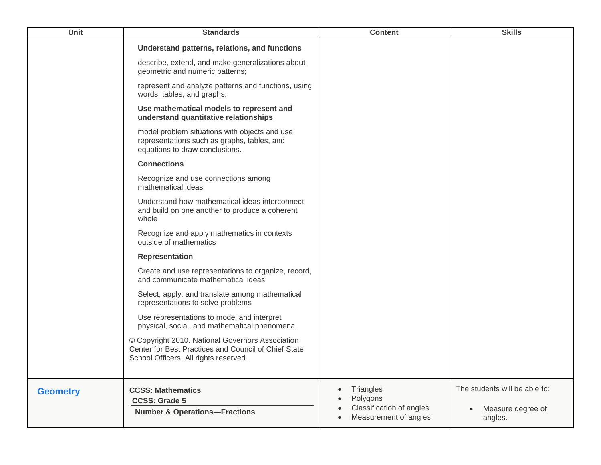| Unit            | <b>Standards</b>                                                                                                                                  | <b>Content</b>                                                                                       | <b>Skills</b>                                                 |
|-----------------|---------------------------------------------------------------------------------------------------------------------------------------------------|------------------------------------------------------------------------------------------------------|---------------------------------------------------------------|
|                 | Understand patterns, relations, and functions                                                                                                     |                                                                                                      |                                                               |
|                 | describe, extend, and make generalizations about<br>geometric and numeric patterns;                                                               |                                                                                                      |                                                               |
|                 | represent and analyze patterns and functions, using<br>words, tables, and graphs.                                                                 |                                                                                                      |                                                               |
|                 | Use mathematical models to represent and<br>understand quantitative relationships                                                                 |                                                                                                      |                                                               |
|                 | model problem situations with objects and use<br>representations such as graphs, tables, and<br>equations to draw conclusions.                    |                                                                                                      |                                                               |
|                 | <b>Connections</b>                                                                                                                                |                                                                                                      |                                                               |
|                 | Recognize and use connections among<br>mathematical ideas                                                                                         |                                                                                                      |                                                               |
|                 | Understand how mathematical ideas interconnect<br>and build on one another to produce a coherent<br>whole                                         |                                                                                                      |                                                               |
|                 | Recognize and apply mathematics in contexts<br>outside of mathematics                                                                             |                                                                                                      |                                                               |
|                 | <b>Representation</b>                                                                                                                             |                                                                                                      |                                                               |
|                 | Create and use representations to organize, record,<br>and communicate mathematical ideas                                                         |                                                                                                      |                                                               |
|                 | Select, apply, and translate among mathematical<br>representations to solve problems                                                              |                                                                                                      |                                                               |
|                 | Use representations to model and interpret<br>physical, social, and mathematical phenomena                                                        |                                                                                                      |                                                               |
|                 | © Copyright 2010. National Governors Association<br>Center for Best Practices and Council of Chief State<br>School Officers. All rights reserved. |                                                                                                      |                                                               |
| <b>Geometry</b> | <b>CCSS: Mathematics</b><br><b>CCSS: Grade 5</b><br><b>Number &amp; Operations-Fractions</b>                                                      | Triangles<br>$\bullet$<br>Polygons<br>Classification of angles<br>Measurement of angles<br>$\bullet$ | The students will be able to:<br>Measure degree of<br>angles. |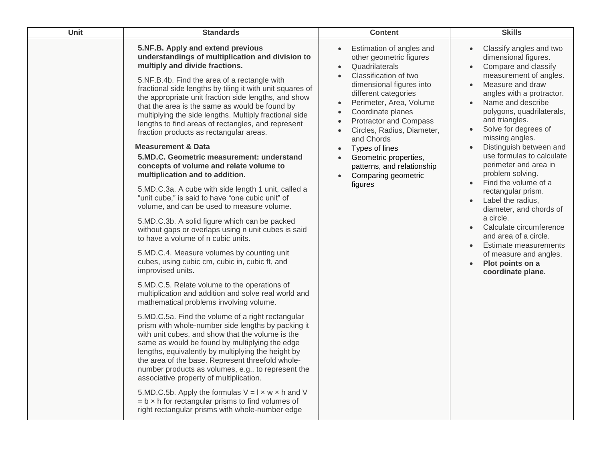| Unit | <b>Standards</b>                                                                                                                                                                                                                                                                                                                                                                                                                                                                                                                                                                                                                                                                                                                                                                                                                                                                                                                                                                                                                                                                                                                                                                                                                                                                                                                                                                                                                                                                                                                                                                                                                                                                                                                                                                                                                                                 | <b>Content</b>                                                                                                                                                                                                                                                                                                                                                                                                                                                                              | <b>Skills</b>                                                                                                                                                                                                                                                                                                                                                                                                                                                                                                                                                                                                                                                                                                                |
|------|------------------------------------------------------------------------------------------------------------------------------------------------------------------------------------------------------------------------------------------------------------------------------------------------------------------------------------------------------------------------------------------------------------------------------------------------------------------------------------------------------------------------------------------------------------------------------------------------------------------------------------------------------------------------------------------------------------------------------------------------------------------------------------------------------------------------------------------------------------------------------------------------------------------------------------------------------------------------------------------------------------------------------------------------------------------------------------------------------------------------------------------------------------------------------------------------------------------------------------------------------------------------------------------------------------------------------------------------------------------------------------------------------------------------------------------------------------------------------------------------------------------------------------------------------------------------------------------------------------------------------------------------------------------------------------------------------------------------------------------------------------------------------------------------------------------------------------------------------------------|---------------------------------------------------------------------------------------------------------------------------------------------------------------------------------------------------------------------------------------------------------------------------------------------------------------------------------------------------------------------------------------------------------------------------------------------------------------------------------------------|------------------------------------------------------------------------------------------------------------------------------------------------------------------------------------------------------------------------------------------------------------------------------------------------------------------------------------------------------------------------------------------------------------------------------------------------------------------------------------------------------------------------------------------------------------------------------------------------------------------------------------------------------------------------------------------------------------------------------|
|      | 5.NF.B. Apply and extend previous<br>understandings of multiplication and division to<br>multiply and divide fractions.<br>5.NF.B.4b. Find the area of a rectangle with<br>fractional side lengths by tiling it with unit squares of<br>the appropriate unit fraction side lengths, and show<br>that the area is the same as would be found by<br>multiplying the side lengths. Multiply fractional side<br>lengths to find areas of rectangles, and represent<br>fraction products as rectangular areas.<br><b>Measurement &amp; Data</b><br>5.MD.C. Geometric measurement: understand<br>concepts of volume and relate volume to<br>multiplication and to addition.<br>5.MD.C.3a. A cube with side length 1 unit, called a<br>"unit cube," is said to have "one cubic unit" of<br>volume, and can be used to measure volume.<br>5.MD.C.3b. A solid figure which can be packed<br>without gaps or overlaps using n unit cubes is said<br>to have a volume of n cubic units.<br>5.MD.C.4. Measure volumes by counting unit<br>cubes, using cubic cm, cubic in, cubic ft, and<br>improvised units.<br>5.MD.C.5. Relate volume to the operations of<br>multiplication and addition and solve real world and<br>mathematical problems involving volume.<br>5.MD.C.5a. Find the volume of a right rectangular<br>prism with whole-number side lengths by packing it<br>with unit cubes, and show that the volume is the<br>same as would be found by multiplying the edge<br>lengths, equivalently by multiplying the height by<br>the area of the base. Represent threefold whole-<br>number products as volumes, e.g., to represent the<br>associative property of multiplication.<br>5.MD.C.5b. Apply the formulas $V = I \times w \times h$ and V<br>$= b \times h$ for rectangular prisms to find volumes of<br>right rectangular prisms with whole-number edge | Estimation of angles and<br>other geometric figures<br>Quadrilaterals<br>$\bullet$<br>Classification of two<br>$\bullet$<br>dimensional figures into<br>different categories<br>Perimeter, Area, Volume<br>$\bullet$<br>Coordinate planes<br>$\bullet$<br>Protractor and Compass<br>$\bullet$<br>Circles, Radius, Diameter,<br>and Chords<br>Types of lines<br>$\bullet$<br>Geometric properties,<br>$\bullet$<br>patterns, and relationship<br>Comparing geometric<br>$\bullet$<br>figures | Classify angles and two<br>dimensional figures.<br>Compare and classify<br>$\bullet$<br>measurement of angles.<br>Measure and draw<br>$\bullet$<br>angles with a protractor.<br>Name and describe<br>$\bullet$<br>polygons, quadrilaterals,<br>and triangles.<br>Solve for degrees of<br>$\bullet$<br>missing angles.<br>Distinguish between and<br>$\bullet$<br>use formulas to calculate<br>perimeter and area in<br>problem solving.<br>Find the volume of a<br>rectangular prism.<br>Label the radius,<br>$\bullet$<br>diameter, and chords of<br>a circle.<br>Calculate circumference<br>and area of a circle.<br>Estimate measurements<br>of measure and angles.<br>Plot points on a<br>$\bullet$<br>coordinate plane. |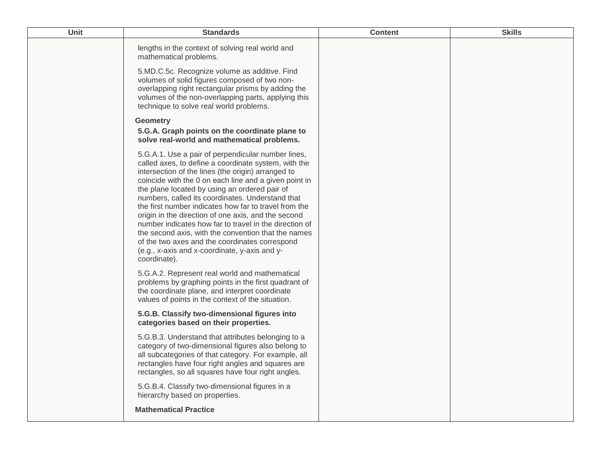| Unit | <b>Standards</b>                                                                                                                                                                                                                                                                                                                                                                                                                                                                                                                                                                                                                                                                   | <b>Content</b> | <b>Skills</b> |
|------|------------------------------------------------------------------------------------------------------------------------------------------------------------------------------------------------------------------------------------------------------------------------------------------------------------------------------------------------------------------------------------------------------------------------------------------------------------------------------------------------------------------------------------------------------------------------------------------------------------------------------------------------------------------------------------|----------------|---------------|
|      | lengths in the context of solving real world and<br>mathematical problems.                                                                                                                                                                                                                                                                                                                                                                                                                                                                                                                                                                                                         |                |               |
|      | 5.MD.C.5c. Recognize volume as additive. Find<br>volumes of solid figures composed of two non-<br>overlapping right rectangular prisms by adding the<br>volumes of the non-overlapping parts, applying this<br>technique to solve real world problems.                                                                                                                                                                                                                                                                                                                                                                                                                             |                |               |
|      | <b>Geometry</b><br>5.G.A. Graph points on the coordinate plane to<br>solve real-world and mathematical problems.                                                                                                                                                                                                                                                                                                                                                                                                                                                                                                                                                                   |                |               |
|      | 5.G.A.1. Use a pair of perpendicular number lines,<br>called axes, to define a coordinate system, with the<br>intersection of the lines (the origin) arranged to<br>coincide with the 0 on each line and a given point in<br>the plane located by using an ordered pair of<br>numbers, called its coordinates. Understand that<br>the first number indicates how far to travel from the<br>origin in the direction of one axis, and the second<br>number indicates how far to travel in the direction of<br>the second axis, with the convention that the names<br>of the two axes and the coordinates correspond<br>(e.g., x-axis and x-coordinate, y-axis and y-<br>coordinate). |                |               |
|      | 5.G.A.2. Represent real world and mathematical<br>problems by graphing points in the first quadrant of<br>the coordinate plane, and interpret coordinate<br>values of points in the context of the situation.                                                                                                                                                                                                                                                                                                                                                                                                                                                                      |                |               |
|      | 5.G.B. Classify two-dimensional figures into<br>categories based on their properties.                                                                                                                                                                                                                                                                                                                                                                                                                                                                                                                                                                                              |                |               |
|      | 5.G.B.3. Understand that attributes belonging to a<br>category of two-dimensional figures also belong to<br>all subcategories of that category. For example, all<br>rectangles have four right angles and squares are<br>rectangles, so all squares have four right angles.                                                                                                                                                                                                                                                                                                                                                                                                        |                |               |
|      | 5.G.B.4. Classify two-dimensional figures in a<br>hierarchy based on properties.                                                                                                                                                                                                                                                                                                                                                                                                                                                                                                                                                                                                   |                |               |
|      | <b>Mathematical Practice</b>                                                                                                                                                                                                                                                                                                                                                                                                                                                                                                                                                                                                                                                       |                |               |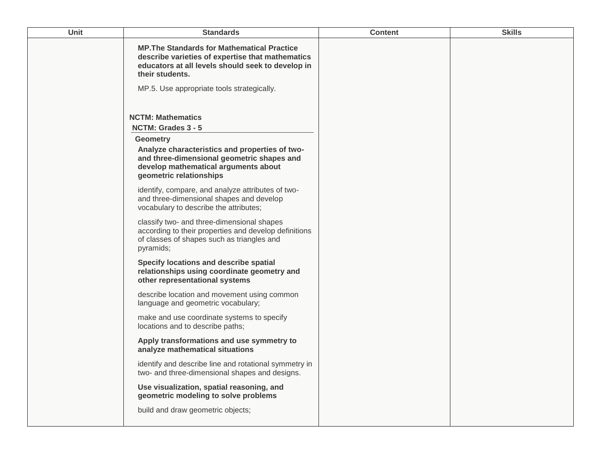| <b>Unit</b> | <b>Standards</b>                                                                                                                                                                                          | <b>Content</b> | <b>Skills</b> |
|-------------|-----------------------------------------------------------------------------------------------------------------------------------------------------------------------------------------------------------|----------------|---------------|
|             | <b>MP. The Standards for Mathematical Practice</b><br>describe varieties of expertise that mathematics<br>educators at all levels should seek to develop in<br>their students.                            |                |               |
|             | MP.5. Use appropriate tools strategically.                                                                                                                                                                |                |               |
|             | <b>NCTM: Mathematics</b><br>NCTM: Grades 3 - 5<br><b>Geometry</b><br>Analyze characteristics and properties of two-<br>and three-dimensional geometric shapes and<br>develop mathematical arguments about |                |               |
|             | geometric relationships<br>identify, compare, and analyze attributes of two-<br>and three-dimensional shapes and develop<br>vocabulary to describe the attributes;                                        |                |               |
|             | classify two- and three-dimensional shapes<br>according to their properties and develop definitions<br>of classes of shapes such as triangles and<br>pyramids;                                            |                |               |
|             | Specify locations and describe spatial<br>relationships using coordinate geometry and<br>other representational systems                                                                                   |                |               |
|             | describe location and movement using common<br>language and geometric vocabulary;                                                                                                                         |                |               |
|             | make and use coordinate systems to specify<br>locations and to describe paths;                                                                                                                            |                |               |
|             | Apply transformations and use symmetry to<br>analyze mathematical situations                                                                                                                              |                |               |
|             | identify and describe line and rotational symmetry in<br>two- and three-dimensional shapes and designs.                                                                                                   |                |               |
|             | Use visualization, spatial reasoning, and<br>geometric modeling to solve problems                                                                                                                         |                |               |
|             | build and draw geometric objects;                                                                                                                                                                         |                |               |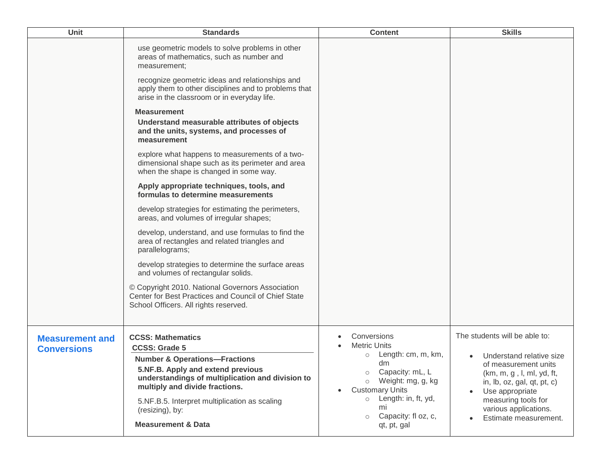| <b>Unit</b>                                  | <b>Standards</b>                                                                                                                                                                                                                                                                                                             | <b>Content</b>                                                                                                                                                                                                                                                          | <b>Skills</b>                                                                                                                                                                                                                                               |
|----------------------------------------------|------------------------------------------------------------------------------------------------------------------------------------------------------------------------------------------------------------------------------------------------------------------------------------------------------------------------------|-------------------------------------------------------------------------------------------------------------------------------------------------------------------------------------------------------------------------------------------------------------------------|-------------------------------------------------------------------------------------------------------------------------------------------------------------------------------------------------------------------------------------------------------------|
|                                              | use geometric models to solve problems in other<br>areas of mathematics, such as number and<br>measurement;<br>recognize geometric ideas and relationships and<br>apply them to other disciplines and to problems that                                                                                                       |                                                                                                                                                                                                                                                                         |                                                                                                                                                                                                                                                             |
|                                              | arise in the classroom or in everyday life.<br><b>Measurement</b><br>Understand measurable attributes of objects<br>and the units, systems, and processes of<br>measurement                                                                                                                                                  |                                                                                                                                                                                                                                                                         |                                                                                                                                                                                                                                                             |
|                                              | explore what happens to measurements of a two-<br>dimensional shape such as its perimeter and area<br>when the shape is changed in some way.                                                                                                                                                                                 |                                                                                                                                                                                                                                                                         |                                                                                                                                                                                                                                                             |
|                                              | Apply appropriate techniques, tools, and<br>formulas to determine measurements                                                                                                                                                                                                                                               |                                                                                                                                                                                                                                                                         |                                                                                                                                                                                                                                                             |
|                                              | develop strategies for estimating the perimeters,<br>areas, and volumes of irregular shapes;                                                                                                                                                                                                                                 |                                                                                                                                                                                                                                                                         |                                                                                                                                                                                                                                                             |
|                                              | develop, understand, and use formulas to find the<br>area of rectangles and related triangles and<br>parallelograms;                                                                                                                                                                                                         |                                                                                                                                                                                                                                                                         |                                                                                                                                                                                                                                                             |
|                                              | develop strategies to determine the surface areas<br>and volumes of rectangular solids.                                                                                                                                                                                                                                      |                                                                                                                                                                                                                                                                         |                                                                                                                                                                                                                                                             |
|                                              | © Copyright 2010. National Governors Association<br>Center for Best Practices and Council of Chief State<br>School Officers. All rights reserved.                                                                                                                                                                            |                                                                                                                                                                                                                                                                         |                                                                                                                                                                                                                                                             |
| <b>Measurement and</b><br><b>Conversions</b> | <b>CCSS: Mathematics</b><br><b>CCSS: Grade 5</b><br><b>Number &amp; Operations-Fractions</b><br>5.NF.B. Apply and extend previous<br>understandings of multiplication and division to<br>multiply and divide fractions.<br>5.NF.B.5. Interpret multiplication as scaling<br>(resizing), by:<br><b>Measurement &amp; Data</b> | Conversions<br><b>Metric Units</b><br>Length: cm, m, km,<br>$\circ$<br>dm<br>Capacity: mL, L<br>$\circ$<br>Weight: mg, g, kg<br>$\circ$<br><b>Customary Units</b><br>$\bullet$<br>Length: in, ft, yd,<br>$\circ$<br>mi<br>Capacity: fl oz, c,<br>$\circ$<br>qt, pt, gal | The students will be able to:<br>Understand relative size<br>of measurement units<br>(km, m, g, l, ml, yd, ft,<br>in, $Ib$ , $oz$ , $gal$ , $qt$ , $pt$ , $c$ )<br>Use appropriate<br>measuring tools for<br>various applications.<br>Estimate measurement. |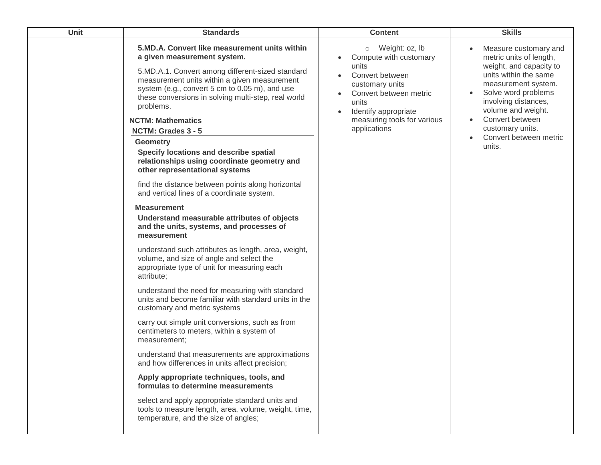| Unit | <b>Standards</b>                                                                                                                                                                                                                                                                                                                                                                                                                                                                                                                                                                                                                                                                                                                                                                                                                                                                                                                                                                                                                                                                                                                                                                                                                                                                                                                                                                                                                                                                                               | <b>Content</b>                                                                                                                                                                                               | <b>Skills</b>                                                                                                                                                                                                                                                                                         |
|------|----------------------------------------------------------------------------------------------------------------------------------------------------------------------------------------------------------------------------------------------------------------------------------------------------------------------------------------------------------------------------------------------------------------------------------------------------------------------------------------------------------------------------------------------------------------------------------------------------------------------------------------------------------------------------------------------------------------------------------------------------------------------------------------------------------------------------------------------------------------------------------------------------------------------------------------------------------------------------------------------------------------------------------------------------------------------------------------------------------------------------------------------------------------------------------------------------------------------------------------------------------------------------------------------------------------------------------------------------------------------------------------------------------------------------------------------------------------------------------------------------------------|--------------------------------------------------------------------------------------------------------------------------------------------------------------------------------------------------------------|-------------------------------------------------------------------------------------------------------------------------------------------------------------------------------------------------------------------------------------------------------------------------------------------------------|
|      | 5.MD.A. Convert like measurement units within<br>a given measurement system.<br>5.MD.A.1. Convert among different-sized standard<br>measurement units within a given measurement<br>system (e.g., convert 5 cm to 0.05 m), and use<br>these conversions in solving multi-step, real world<br>problems.<br><b>NCTM: Mathematics</b><br>NCTM: Grades 3 - 5<br><b>Geometry</b><br>Specify locations and describe spatial<br>relationships using coordinate geometry and<br>other representational systems<br>find the distance between points along horizontal<br>and vertical lines of a coordinate system.<br><b>Measurement</b><br>Understand measurable attributes of objects<br>and the units, systems, and processes of<br>measurement<br>understand such attributes as length, area, weight,<br>volume, and size of angle and select the<br>appropriate type of unit for measuring each<br>attribute;<br>understand the need for measuring with standard<br>units and become familiar with standard units in the<br>customary and metric systems<br>carry out simple unit conversions, such as from<br>centimeters to meters, within a system of<br>measurement:<br>understand that measurements are approximations<br>and how differences in units affect precision;<br>Apply appropriate techniques, tools, and<br>formulas to determine measurements<br>select and apply appropriate standard units and<br>tools to measure length, area, volume, weight, time,<br>temperature, and the size of angles; | Weight: oz, lb<br>$\circ$<br>Compute with customary<br>units<br>Convert between<br>customary units<br>Convert between metric<br>units<br>Identify appropriate<br>measuring tools for various<br>applications | Measure customary and<br>metric units of length,<br>weight, and capacity to<br>units within the same<br>measurement system.<br>Solve word problems<br>involving distances,<br>volume and weight.<br>Convert between<br>$\bullet$<br>customary units.<br>Convert between metric<br>$\bullet$<br>units. |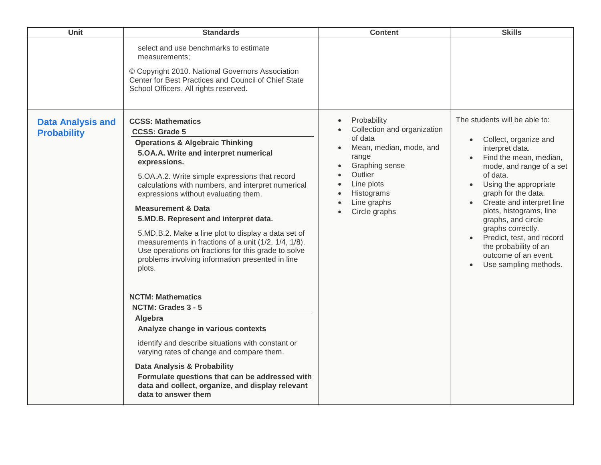| Unit                                           | <b>Standards</b>                                                                                                                                                                                                                                                                                                                                                                                                                                                                                                                                                                                                                                                                                                                                                                                                                                                                                                                                                                       | <b>Content</b>                                                                                                                                                                     | <b>Skills</b>                                                                                                                                                                                                                                                                                                                                                                                         |
|------------------------------------------------|----------------------------------------------------------------------------------------------------------------------------------------------------------------------------------------------------------------------------------------------------------------------------------------------------------------------------------------------------------------------------------------------------------------------------------------------------------------------------------------------------------------------------------------------------------------------------------------------------------------------------------------------------------------------------------------------------------------------------------------------------------------------------------------------------------------------------------------------------------------------------------------------------------------------------------------------------------------------------------------|------------------------------------------------------------------------------------------------------------------------------------------------------------------------------------|-------------------------------------------------------------------------------------------------------------------------------------------------------------------------------------------------------------------------------------------------------------------------------------------------------------------------------------------------------------------------------------------------------|
|                                                | select and use benchmarks to estimate<br>measurements;<br>© Copyright 2010. National Governors Association<br>Center for Best Practices and Council of Chief State<br>School Officers. All rights reserved.                                                                                                                                                                                                                                                                                                                                                                                                                                                                                                                                                                                                                                                                                                                                                                            |                                                                                                                                                                                    |                                                                                                                                                                                                                                                                                                                                                                                                       |
| <b>Data Analysis and</b><br><b>Probability</b> | <b>CCSS: Mathematics</b><br><b>CCSS: Grade 5</b><br><b>Operations &amp; Algebraic Thinking</b><br>5.OA.A. Write and interpret numerical<br>expressions.<br>5.OA.A.2. Write simple expressions that record<br>calculations with numbers, and interpret numerical<br>expressions without evaluating them.<br><b>Measurement &amp; Data</b><br>5.MD.B. Represent and interpret data.<br>5.MD.B.2. Make a line plot to display a data set of<br>measurements in fractions of a unit (1/2, 1/4, 1/8).<br>Use operations on fractions for this grade to solve<br>problems involving information presented in line<br>plots.<br><b>NCTM: Mathematics</b><br>NCTM: Grades 3 - 5<br>Algebra<br>Analyze change in various contexts<br>identify and describe situations with constant or<br>varying rates of change and compare them.<br>Data Analysis & Probability<br>Formulate questions that can be addressed with<br>data and collect, organize, and display relevant<br>data to answer them | Probability<br>Collection and organization<br>of data<br>Mean, median, mode, and<br>range<br>Graphing sense<br>Outlier<br>Line plots<br>Histograms<br>Line graphs<br>Circle graphs | The students will be able to:<br>Collect, organize and<br>interpret data.<br>Find the mean, median,<br>mode, and range of a set<br>of data.<br>Using the appropriate<br>graph for the data.<br>Create and interpret line<br>plots, histograms, line<br>graphs, and circle<br>graphs correctly.<br>Predict, test, and record<br>the probability of an<br>outcome of an event.<br>Use sampling methods. |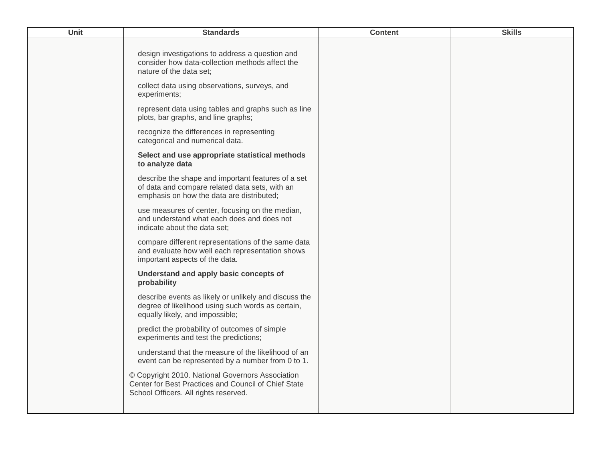| <b>Unit</b> | <b>Standards</b>                                                                                                                                  | <b>Content</b> | <b>Skills</b> |
|-------------|---------------------------------------------------------------------------------------------------------------------------------------------------|----------------|---------------|
|             | design investigations to address a question and<br>consider how data-collection methods affect the<br>nature of the data set;                     |                |               |
|             | collect data using observations, surveys, and<br>experiments;                                                                                     |                |               |
|             | represent data using tables and graphs such as line<br>plots, bar graphs, and line graphs;                                                        |                |               |
|             | recognize the differences in representing<br>categorical and numerical data.                                                                      |                |               |
|             | Select and use appropriate statistical methods<br>to analyze data                                                                                 |                |               |
|             | describe the shape and important features of a set<br>of data and compare related data sets, with an<br>emphasis on how the data are distributed; |                |               |
|             | use measures of center, focusing on the median,<br>and understand what each does and does not<br>indicate about the data set;                     |                |               |
|             | compare different representations of the same data<br>and evaluate how well each representation shows<br>important aspects of the data.           |                |               |
|             | Understand and apply basic concepts of<br>probability                                                                                             |                |               |
|             | describe events as likely or unlikely and discuss the<br>degree of likelihood using such words as certain,<br>equally likely, and impossible;     |                |               |
|             | predict the probability of outcomes of simple<br>experiments and test the predictions;                                                            |                |               |
|             | understand that the measure of the likelihood of an<br>event can be represented by a number from 0 to 1.                                          |                |               |
|             | © Copyright 2010. National Governors Association<br>Center for Best Practices and Council of Chief State<br>School Officers. All rights reserved. |                |               |
|             |                                                                                                                                                   |                |               |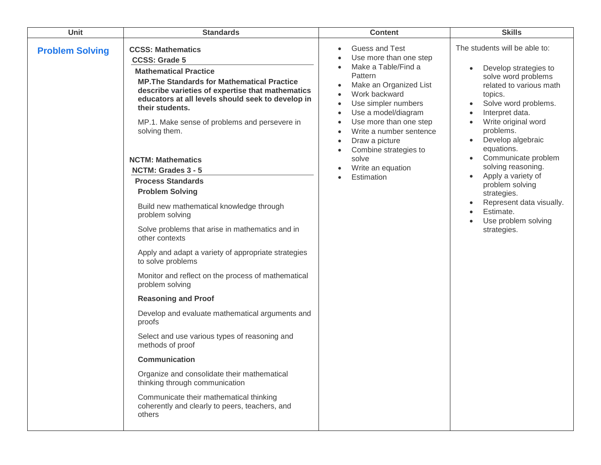| Unit                   | <b>Standards</b>                                                                                                                                                                                                                                                                                                                                                                                                                                                                                                                                                                                                                                                                                                                                                                                                                                                                                                                                                                                                                                                                                                      | <b>Content</b>                                                                                                                                                                                                                                                                                                                                                                                                                                    | <b>Skills</b>                                                                                                                                                                                                                                                                                                                                                                                                                                                                                                                                               |
|------------------------|-----------------------------------------------------------------------------------------------------------------------------------------------------------------------------------------------------------------------------------------------------------------------------------------------------------------------------------------------------------------------------------------------------------------------------------------------------------------------------------------------------------------------------------------------------------------------------------------------------------------------------------------------------------------------------------------------------------------------------------------------------------------------------------------------------------------------------------------------------------------------------------------------------------------------------------------------------------------------------------------------------------------------------------------------------------------------------------------------------------------------|---------------------------------------------------------------------------------------------------------------------------------------------------------------------------------------------------------------------------------------------------------------------------------------------------------------------------------------------------------------------------------------------------------------------------------------------------|-------------------------------------------------------------------------------------------------------------------------------------------------------------------------------------------------------------------------------------------------------------------------------------------------------------------------------------------------------------------------------------------------------------------------------------------------------------------------------------------------------------------------------------------------------------|
| <b>Problem Solving</b> | <b>CCSS: Mathematics</b><br><b>CCSS: Grade 5</b><br><b>Mathematical Practice</b><br><b>MP. The Standards for Mathematical Practice</b><br>describe varieties of expertise that mathematics<br>educators at all levels should seek to develop in<br>their students.<br>MP.1. Make sense of problems and persevere in<br>solving them.<br><b>NCTM: Mathematics</b><br>NCTM: Grades 3 - 5<br><b>Process Standards</b><br><b>Problem Solving</b><br>Build new mathematical knowledge through<br>problem solving<br>Solve problems that arise in mathematics and in<br>other contexts<br>Apply and adapt a variety of appropriate strategies<br>to solve problems<br>Monitor and reflect on the process of mathematical<br>problem solving<br><b>Reasoning and Proof</b><br>Develop and evaluate mathematical arguments and<br>proofs<br>Select and use various types of reasoning and<br>methods of proof<br><b>Communication</b><br>Organize and consolidate their mathematical<br>thinking through communication<br>Communicate their mathematical thinking<br>coherently and clearly to peers, teachers, and<br>others | Guess and Test<br>$\bullet$<br>Use more than one step<br>Make a Table/Find a<br>$\bullet$<br>Pattern<br>Make an Organized List<br>$\bullet$<br>Work backward<br>$\bullet$<br>Use simpler numbers<br>$\bullet$<br>Use a model/diagram<br>$\bullet$<br>Use more than one step<br>$\bullet$<br>Write a number sentence<br>$\bullet$<br>Draw a picture<br>$\bullet$<br>Combine strategies to<br>$\bullet$<br>solve<br>Write an equation<br>Estimation | The students will be able to:<br>Develop strategies to<br>$\bullet$<br>solve word problems<br>related to various math<br>topics.<br>Solve word problems.<br>$\bullet$<br>Interpret data.<br>$\bullet$<br>Write original word<br>$\bullet$<br>problems.<br>Develop algebraic<br>$\bullet$<br>equations.<br>Communicate problem<br>$\bullet$<br>solving reasoning.<br>Apply a variety of<br>$\bullet$<br>problem solving<br>strategies.<br>Represent data visually.<br>$\bullet$<br>Estimate.<br>$\bullet$<br>Use problem solving<br>$\bullet$<br>strategies. |